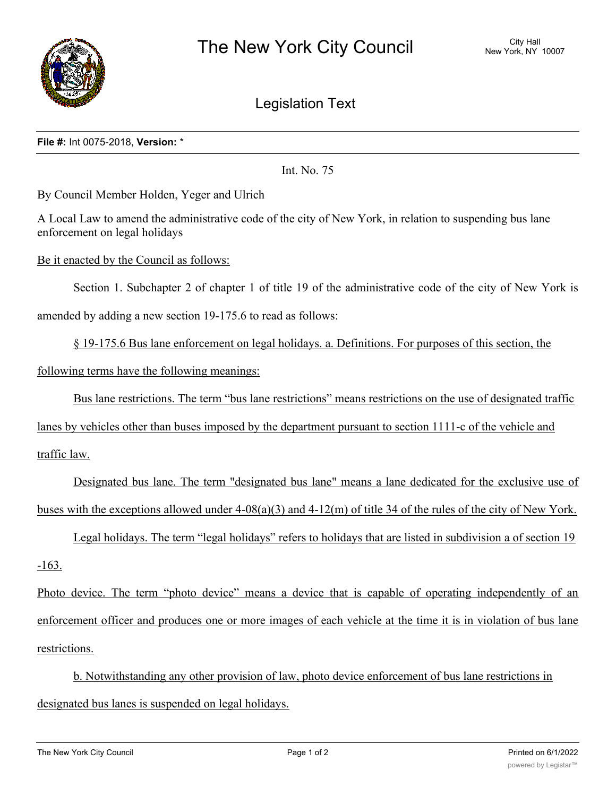

Legislation Text

## **File #:** Int 0075-2018, **Version:** \*

Int. No. 75

By Council Member Holden, Yeger and Ulrich

A Local Law to amend the administrative code of the city of New York, in relation to suspending bus lane enforcement on legal holidays

Be it enacted by the Council as follows:

Section 1. Subchapter 2 of chapter 1 of title 19 of the administrative code of the city of New York is

amended by adding a new section 19-175.6 to read as follows:

§ 19-175.6 Bus lane enforcement on legal holidays. a. Definitions. For purposes of this section, the

following terms have the following meanings:

Bus lane restrictions. The term "bus lane restrictions" means restrictions on the use of designated traffic

lanes by vehicles other than buses imposed by the department pursuant to section 1111-c of the vehicle and

traffic law.

Designated bus lane. The term "designated bus lane" means a lane dedicated for the exclusive use of buses with the exceptions allowed under  $4-08(a)(3)$  and  $4-12(m)$  of title 34 of the rules of the city of New York.

Legal holidays. The term "legal holidays" refers to holidays that are listed in subdivision a of section 19

-163.

Photo device. The term "photo device" means a device that is capable of operating independently of an enforcement officer and produces one or more images of each vehicle at the time it is in violation of bus lane restrictions.

b. Notwithstanding any other provision of law, photo device enforcement of bus lane restrictions in designated bus lanes is suspended on legal holidays.